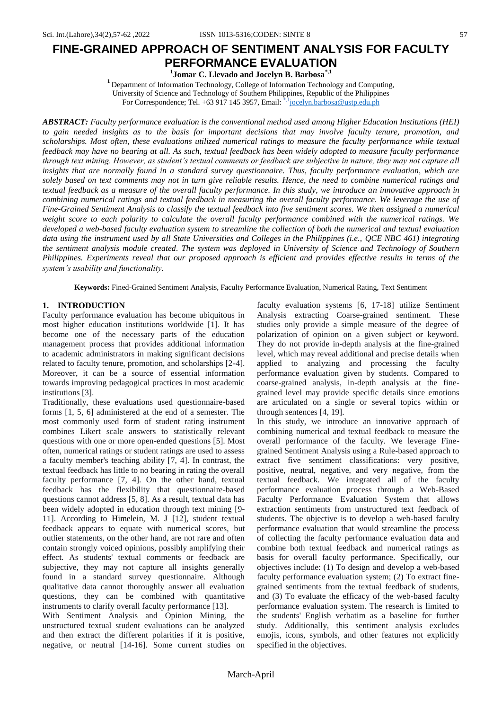# **FINE-GRAINED APPROACH OF SENTIMENT ANALYSIS FOR FACULTY PERFORMANCE EVALUATION**

**1 Jomar C. Llevado and Jocelyn B. Barbosa\*,1**

**<sup>1</sup>** Department of Information Technology, College of Information Technology and Computing, University of Science and Technology of Southern Philippines, Republic of the Philippines For Correspondence; Tel. +63 917 145 3957, Email: \*,<sup>1</sup>[jocelyn.barbosa@ustp.edu.ph](mailto:jocelyn.barbosa@ustp.edu.ph)

*ABSTRACT: Faculty performance evaluation is the conventional method used among Higher Education Institutions (HEI) to gain needed insights as to the basis for important decisions that may involve faculty tenure, promotion, and scholarships. Most often, these evaluations utilized numerical ratings to measure the faculty performance while textual feedback may have no bearing at all. As such, textual feedback has been widely adopted to measure faculty performance through text mining. However, as student's textual comments or feedback are subjective in nature, they may not capture all*  insights that are normally found in a standard survey questionnaire. Thus, faculty performance evaluation, which are *solely based on text comments may not in turn give reliable results. Hence, the need to combine numerical ratings and textual feedback as a measure of the overall faculty performance. In this study, we introduce an innovative approach in combining numerical ratings and textual feedback in measuring the overall faculty performance. We leverage the use of Fine-Grained Sentiment Analysis to classify the textual feedback into five sentiment scores. We then assigned a numerical weight score to each polarity to calculate the overall faculty performance combined with the numerical ratings. We developed a web-based faculty evaluation system to streamline the collection of both the numerical and textual evaluation data using the instrument used by all State Universities and Colleges in the Philippines (i.e., QCE NBC 461) integrating the sentiment analysis module created. The system was deployed in University of Science and Technology of Southern Philippines. Experiments reveal that our proposed approach is efficient and provides effective results in terms of the system's usability and functionality.*

**Keywords:** Fined-Grained Sentiment Analysis, Faculty Performance Evaluation, Numerical Rating, Text Sentiment

## **1. INTRODUCTION**

Faculty performance evaluation has become ubiquitous in most higher education institutions worldwide [1]. It has become one of the necessary parts of the education management process that provides additional information to academic administrators in making significant decisions related to faculty tenure, promotion, and scholarships [2-4]. Moreover, it can be a source of essential information towards improving pedagogical practices in most academic institutions [3].

Traditionally, these evaluations used questionnaire-based forms [1, 5, 6] administered at the end of a semester. The most commonly used form of student rating instrument combines Likert scale answers to statistically relevant questions with one or more open-ended questions [5]. Most often, numerical ratings or student ratings are used to assess a faculty member's teaching ability [7, 4]. In contrast, the textual feedback has little to no bearing in rating the overall faculty performance [7, 4]. On the other hand, textual feedback has the flexibility that questionnaire-based questions cannot address [5, 8]. As a result, textual data has been widely adopted in education through text mining [9- 11]. According to Himelein, M. J [12], student textual feedback appears to equate with numerical scores, but outlier statements, on the other hand, are not rare and often contain strongly voiced opinions, possibly amplifying their effect. As students' textual comments or feedback are subjective, they may not capture all insights generally found in a standard survey questionnaire. Although qualitative data cannot thoroughly answer all evaluation questions, they can be combined with quantitative instruments to clarify overall faculty performance [13].

With Sentiment Analysis and Opinion Mining, the unstructured textual student evaluations can be analyzed and then extract the different polarities if it is positive, negative, or neutral [14-16]. Some current studies on faculty evaluation systems [6, 17-18] utilize Sentiment Analysis extracting Coarse-grained sentiment. These studies only provide a simple measure of the degree of polarization of opinion on a given subject or keyword. They do not provide in-depth analysis at the fine-grained level, which may reveal additional and precise details when applied to analyzing and processing the faculty performance evaluation given by students. Compared to coarse-grained analysis, in-depth analysis at the finegrained level may provide specific details since emotions are articulated on a single or several topics within or through sentences [4, 19].

In this study, we introduce an innovative approach of combining numerical and textual feedback to measure the overall performance of the faculty. We leverage Finegrained Sentiment Analysis using a Rule-based approach to extract five sentiment classifications: very positive, positive, neutral, negative, and very negative, from the textual feedback. We integrated all of the faculty performance evaluation process through a Web-Based Faculty Performance Evaluation System that allows extraction sentiments from unstructured text feedback of students. The objective is to develop a web-based faculty performance evaluation that would streamline the process of collecting the faculty performance evaluation data and combine both textual feedback and numerical ratings as basis for overall faculty performance. Specifically, our objectives include: (1) To design and develop a web-based faculty performance evaluation system; (2) To extract finegrained sentiments from the textual feedback of students, and (3) To evaluate the efficacy of the web-based faculty performance evaluation system. The research is limited to the students' English verbatim as a baseline for further study. Additionally, this sentiment analysis excludes emojis, icons, symbols, and other features not explicitly specified in the objectives.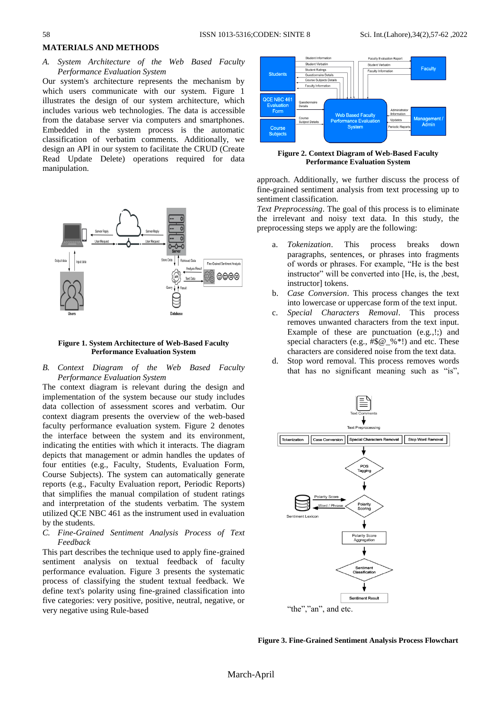### **MATERIALS AND METHODS**

*A. System Architecture of the Web Based Faculty Performance Evaluation System*

Our system's architecture represents the mechanism by which users communicate with our system. Figure 1 illustrates the design of our system architecture, which includes various web technologies. The data is accessible from the database server via computers and smartphones. Embedded in the system process is the automatic classification of verbatim comments. Additionally, we design an API in our system to facilitate the CRUD (Create Read Update Delete) operations required for data manipulation.



#### **Figure 1. System Architecture of Web-Based Faculty Performance Evaluation System**

*B. Context Diagram of the Web Based Faculty Performance Evaluation System*

The context diagram is relevant during the design and implementation of the system because our study includes data collection of assessment scores and verbatim. Our context diagram presents the overview of the web-based faculty performance evaluation system. Figure 2 denotes the interface between the system and its environment, indicating the entities with which it interacts. The diagram depicts that management or admin handles the updates of four entities (e.g., Faculty, Students, Evaluation Form, Course Subjects). The system can automatically generate reports (e.g., Faculty Evaluation report, Periodic Reports) that simplifies the manual compilation of student ratings and interpretation of the students verbatim. The system utilized QCE NBC 461 as the instrument used in evaluation by the students.

*C. Fine-Grained Sentiment Analysis Process of Text Feedback*

This part describes the technique used to apply fine-grained sentiment analysis on textual feedback of faculty performance evaluation. Figure 3 presents the systematic process of classifying the student textual feedback. We define text's polarity using fine-grained classification into five categories: very positive, positive, neutral, negative, or very negative using Rule-based



**Figure 2. Context Diagram of Web-Based Faculty Performance Evaluation System**

approach. Additionally, we further discuss the process of fine-grained sentiment analysis from text processing up to sentiment classification.

*Text Preprocessing*. The goal of this process is to eliminate the irrelevant and noisy text data. In this study, the preprocessing steps we apply are the following:

- a. *Tokenization*. This process breaks down paragraphs, sentences, or phrases into fragments of words or phrases. For example, "He is the best instructor" will be converted into [He, is, the ,best, instructor] tokens.
- b. *Case Conversion*. This process changes the text into lowercase or uppercase form of the text input.
- c. *Special Characters Removal*. This process removes unwanted characters from the text input. Example of these are punctuation (e.g.,!;) and special characters (e.g., #\$@\_%\*!) and etc. These characters are considered noise from the text data.
- d. Stop word removal. This process removes words that has no significant meaning such as "is",



**Figure 3. Fine-Grained Sentiment Analysis Process Flowchart**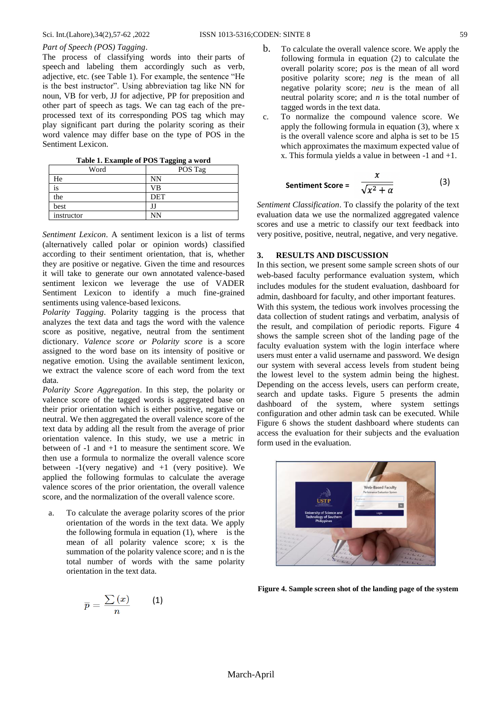## *Part of Speech (POS) Tagging*.

The process of classifying words into their parts of speech and labeling them accordingly such as verb, adjective, etc. (see Table 1). For example, the sentence "He is the best instructor". Using abbreviation tag like NN for noun, VB for verb, JJ for adjective, PP for preposition and other part of speech as tags. We can tag each of the preprocessed text of its corresponding POS tag which may play significant part during the polarity scoring as their word valence may differ base on the type of POS in the Sentiment Lexicon.

**Table 1. Example of POS Tagging a word**

| Word       | POS Tag |  |  |
|------------|---------|--|--|
| He         | NN      |  |  |
| 1S         | VB      |  |  |
| the        | DET     |  |  |
| best       |         |  |  |
| instructor | NΝ      |  |  |

*Sentiment Lexicon*. A sentiment lexicon is a list of terms (alternatively called polar or opinion words) classified according to their sentiment orientation, that is, whether they are positive or negative. Given the time and resources it will take to generate our own annotated valence-based sentiment lexicon we leverage the use of VADER Sentiment Lexicon to identify a much fine-grained sentiments using valence-based lexicons.

*Polarity Tagging*. Polarity tagging is the process that analyzes the text data and tags the word with the valence score as positive, negative, neutral from the sentiment dictionary. *Valence score or Polarity score* is a score assigned to the word base on its intensity of positive or negative emotion. Using the available sentiment lexicon, we extract the valence score of each word from the text data.

*Polarity Score Aggregation*. In this step, the polarity or valence score of the tagged words is aggregated base on their prior orientation which is either positive, negative or neutral. We then aggregated the overall valence score of the text data by adding all the result from the average of prior orientation valence. In this study, we use a metric in between of -1 and +1 to measure the sentiment score. We then use a formula to normalize the overall valence score between  $-1$ (very negative) and  $+1$  (very positive). We applied the following formulas to calculate the average valence scores of the prior orientation, the overall valence score, and the normalization of the overall valence score.

a. To calculate the average polarity scores of the prior orientation of the words in the text data. We apply the following formula in equation  $(1)$ , where is the mean of all polarity valence score; x is the summation of the polarity valence score; and n is the total number of words with the same polarity orientation in the text data.

- b. To calculate the overall valence score. We apply the following formula in equation (2) to calculate the overall polarity score; *pos* is the mean of all word positive polarity score; *neg* is the mean of all negative polarity score; *neu* is the mean of all
- tagged words in the text data. c. To normalize the compound valence score. We apply the following formula in equation (3), where x is the overall valence score and alpha is set to be 15 which approximates the maximum expected value of x. This formula yields a value in between -1 and +1.

neutral polarity score; and *n* is the total number of

$$
Sentiment Score = \frac{x}{\sqrt{x^2 + \alpha}}
$$
 (3)

*Sentiment Classification*. To classify the polarity of the text evaluation data we use the normalized aggregated valence scores and use a metric to classify our text feedback into very positive, positive, neutral, negative, and very negative.

## **3. RESULTS AND DISCUSSION**

In this section, we present some sample screen shots of our web-based faculty performance evaluation system, which includes modules for the student evaluation, dashboard for admin, dashboard for faculty, and other important features.

With this system, the tedious work involves processing the data collection of student ratings and verbatim, analysis of the result, and compilation of periodic reports. Figure 4 shows the sample screen shot of the landing page of the faculty evaluation system with the login interface where users must enter a valid username and password. We design our system with several access levels from student being the lowest level to the system admin being the highest. Depending on the access levels, users can perform create, search and update tasks. Figure 5 presents the admin dashboard of the system, where system settings configuration and other admin task can be executed. While Figure 6 shows the student dashboard where students can access the evaluation for their subjects and the evaluation form used in the evaluation.



**Figure 4. Sample screen shot of the landing page of the system**

$$
\overline{p}=\frac{\sum\left( x\right) }{n}\text{ \qquad \ \ \, (1)}
$$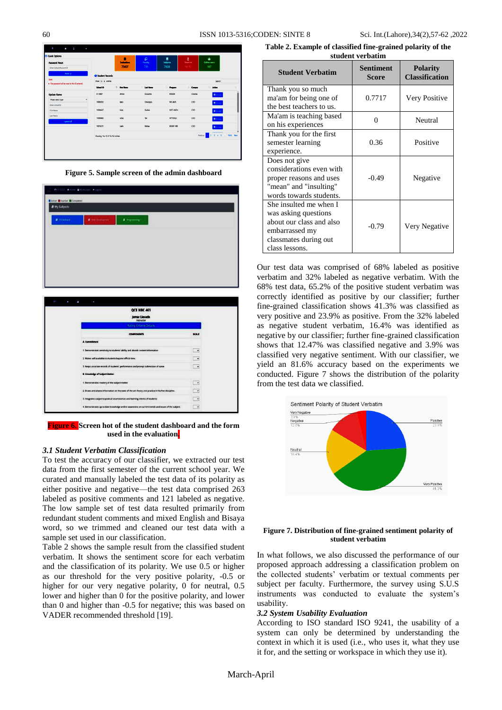| <b>Providence Allen</b><br>٠                           |                                   |                                        |                |                  |                   |                            |    |
|--------------------------------------------------------|-----------------------------------|----------------------------------------|----------------|------------------|-------------------|----------------------------|----|
| Quick Options                                          |                                   | п                                      | Đ              | e                | Σ                 | غ                          |    |
| <b>Pacoword Recet</b>                                  |                                   | <b><i><u>Enforted</u></i></b><br>75607 | Faculty<br>753 | Subjects<br>7608 | Students<br>16192 | Online users<br>567        |    |
| Enter School/Account ID                                |                                   |                                        |                |                  |                   |                            |    |
| sistrict                                               | <b>CD Student Records</b>         |                                        |                |                  |                   |                            |    |
| Note:<br>. The password will be sent to the C ortered. | Show 11 x entires                 |                                        |                |                  |                   | Search                     |    |
|                                                        | School ID                         | 1. First Name                          | 11 Last Name   | <b>Dispate</b>   | <b>Company</b>    | <b>TEL Action</b>          | 11 |
| <b>Undate Name</b>                                     | 01-0687                           | Alman                                  | Dungere        | <b>BASR</b>      | Clevela           | <b>D</b> Value             |    |
| Please select type<br>٠                                | 10089052                          | tery                                   | Omongos        | MS-MAS           | CDO               | <b>O</b> Vanage            |    |
| <b>Enter school ID</b><br><b>East Name</b>             | 10064637                          | <b>Raby</b>                            | Golde          | MST-MATH         | cto               |                            |    |
| Last Name                                              |                                   |                                        |                |                  |                   | <b>O</b> Manager           |    |
| Update (2)                                             | 10064663                          | MAX                                    | <b>Set</b>     | MTH-B.X          | CDD               | <b>O</b> Value             |    |
|                                                        | 10010211                          | Carlo                                  | Mating         | <b>EGMT-MR</b>   | cpo               | <b>O</b> Manage            |    |
|                                                        | Showing 1 to 10 of 16,152 entries |                                        |                |                  |                   | Protos 1 2 3 4 5  1616 Net |    |
|                                                        |                                   |                                        |                |                  |                   |                            |    |
|                                                        |                                   |                                        |                |                  |                   |                            |    |
|                                                        |                                   |                                        |                |                  |                   |                            |    |
|                                                        |                                   |                                        |                |                  |                   |                            |    |

**Figure 5. Sample screen of the admin dashboard**

| O 3172751 # Home: A My Account: 9 Legout |                         |                            |
|------------------------------------------|-------------------------|----------------------------|
| <b>Bicive Brucive BCompleted</b>         |                         |                            |
| <b>R</b> My Subjects                     |                         |                            |
| $\blacksquare$ if Electric 4             | <b>P</b> metaborisphent | <b><i>B. Impaning3</i></b> |
|                                          |                         |                            |
|                                          |                         |                            |
|                                          |                         |                            |
|                                          |                         |                            |
|                                          |                         |                            |
|                                          |                         |                            |

| QCE NBC 461                                                                                        |                          |
|----------------------------------------------------------------------------------------------------|--------------------------|
| <b>Jomar Llevado</b><br><b>Welderwinser</b>                                                        |                          |
| <b>Rating Criteria Details</b>                                                                     |                          |
| <b>COMPONENTS</b>                                                                                  | 57312                    |
| A. Commitment                                                                                      |                          |
| 1. Demonstrates sensitivity to students' ability and absorb content information                    | $\ddot{\phantom{1}}$     |
| 2. Makes self-available to students beyond official time.                                          | $\ddot{\phantom{1}}$     |
| 3. Keeps accurate records of students' performance and prompt submission of same                   | $\overline{\phantom{a}}$ |
| <b>B. Knowledge of Subject Matter</b>                                                              |                          |
| 1. Demonstrates mastery of the subject matter                                                      | $\cdot$                  |
| 2. Draws and shares information on the state of the art theory and practice in his/her discipline. | . .                      |
| 3. Integrates subject to pratical counselances and learning intents of quateres                    | $\ddot{\phantom{1}}$     |
| 4. Demonstrates up to date knowledge and/or awareness on current trench and issues of the subject. | ٠                        |

**Figure 6. Screen hot of the student dashboard and the form used in the evaluation.**

### *3.1 Student Verbatim Classification*

To test the accuracy of our classifier, we extracted our test data from the first semester of the current school year. We curated and manually labeled the test data of its polarity as either positive and negative—the test data comprised 263 labeled as positive comments and 121 labeled as negative. The low sample set of test data resulted primarily from redundant student comments and mixed English and Bisaya word, so we trimmed and cleaned our test data with a sample set used in our classification.

Table 2 shows the sample result from the classified student verbatim. It shows the sentiment score for each verbatim and the classification of its polarity. We use 0.5 or higher as our threshold for the very positive polarity, -0.5 or higher for our very negative polarity, 0 for neutral, 0.5 lower and higher than 0 for the positive polarity, and lower than 0 and higher than -0.5 for negative; this was based on VADER recommended threshold [19].

**Table 2. Example of classified fine-grained polarity of the student verbatim**

| <b>Student Verbatim</b>                                                                                                                 | Sentiment<br><b>Score</b> | <b>Polarity</b><br><b>Classification</b> |
|-----------------------------------------------------------------------------------------------------------------------------------------|---------------------------|------------------------------------------|
| Thank you so much<br>ma'am for being one of<br>the best teachers to us.                                                                 | 0.7717                    | Very Positive                            |
| Ma'am is teaching based<br>on his experiences                                                                                           | 0                         | Neutral                                  |
| Thank you for the first<br>semester learning<br>experience.                                                                             | 0.36                      | Positive                                 |
| Does not give<br>considerations even with<br>proper reasons and uses<br>"mean" and "insulting"<br>words towards students.               | $-0.49$                   | Negative                                 |
| She insulted me when I<br>was asking questions<br>about our class and also<br>embarrassed my<br>classmates during out<br>class lessons. | $-0.79$                   | Very Negative                            |

Our test data was comprised of 68% labeled as positive verbatim and 32% labeled as negative verbatim. With the 68% test data, 65.2% of the positive student verbatim was correctly identified as positive by our classifier; further fine-grained classification shows 41.3% was classified as very positive and 23.9% as positive. From the 32% labeled as negative student verbatim, 16.4% was identified as negative by our classifier; further fine-grained classification shows that 12.47% was classified negative and 3.9% was classified very negative sentiment. With our classifier, we yield an 81.6% accuracy based on the experiments we conducted. Figure 7 shows the distribution of the polarity from the test data we classified.



#### **Figure 7. Distribution of fine-grained sentiment polarity of student verbatim**

In what follows, we also discussed the performance of our proposed approach addressing a classification problem on the collected students' verbatim or textual comments per subject per faculty. Furthermore, the survey using S.U.S instruments was conducted to evaluate the system's usability.

#### *3.2 System Usability Evaluation*

According to ISO standard ISO 9241, the usability of a system can only be determined by understanding the context in which it is used (i.e., who uses it, what they use it for, and the setting or workspace in which they use it).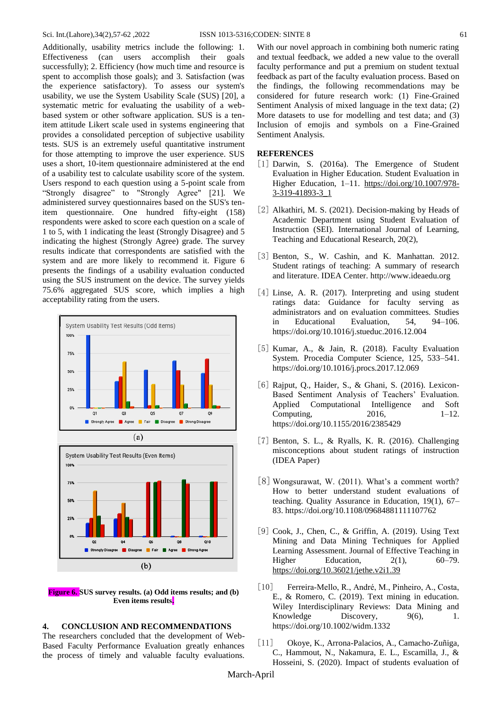Additionally, usability metrics include the following: 1. Effectiveness (can users accomplish their goals successfully); 2. Efficiency (how much time and resource is spent to accomplish those goals); and 3. Satisfaction (was the experience satisfactory). To assess our system's usability, we use the System Usability Scale (SUS) [20], a systematic metric for evaluating the usability of a webbased system or other software application. SUS is a tenitem attitude Likert scale used in systems engineering that provides a consolidated perception of subjective usability tests. SUS is an extremely useful quantitative instrument for those attempting to improve the user experience. SUS uses a short, 10-item questionnaire administered at the end of a usability test to calculate usability score of the system. Users respond to each question using a 5-point scale from "Strongly disagree" to "Strongly Agree" [21]. We administered survey questionnaires based on the SUS's tenitem questionnaire. One hundred fifty-eight (158) respondents were asked to score each question on a scale of 1 to 5, with 1 indicating the least (Strongly Disagree) and 5 indicating the highest (Strongly Agree) grade. The survey results indicate that correspondents are satisfied with the system and are more likely to recommend it. Figure 6 presents the findings of a usability evaluation conducted using the SUS instrument on the device. The survey yields 75.6% aggregated SUS score, which implies a high acceptability rating from the users.





**Figure 6. SUS survey results. (a) Odd items results; and (b) Even items results.**

## **4. CONCLUSION AND RECOMMENDATIONS**

The researchers concluded that the development of Web-Based Faculty Performance Evaluation greatly enhances the process of timely and valuable faculty evaluations.

With our novel approach in combining both numeric rating and textual feedback, we added a new value to the overall faculty performance and put a premium on student textual feedback as part of the faculty evaluation process. Based on the findings, the following recommendations may be considered for future research work: (1) Fine-Grained Sentiment Analysis of mixed language in the text data; (2) More datasets to use for modelling and test data; and (3) Inclusion of emojis and symbols on a Fine-Grained Sentiment Analysis.

## **REFERENCES**

- [1] Darwin, S. (2016a). The Emergence of Student Evaluation in Higher Education. Student Evaluation in Higher Education, 1–11. [https://doi.org/10.1007/978-](https://doi.org/10.1007/978-3-319-41893-3_1) [3-319-41893-3\\_1](https://doi.org/10.1007/978-3-319-41893-3_1)
- [2] Alkathiri, M. S. (2021). Decision-making by Heads of Academic Department using Student Evaluation of Instruction (SEI). International Journal of Learning, Teaching and Educational Research, 20(2),
- [3] Benton, S., W. Cashin, and K. Manhattan. 2012. Student ratings of teaching: A summary of research and literature. IDEA Center. [http://www.ideaedu.org](http://www.ideaedu.org/)
- [4] Linse, A. R. (2017). Interpreting and using student ratings data: Guidance for faculty serving as administrators and on evaluation committees. Studies in Educational Evaluation, 54, 94–106. https://doi.org/10.1016/j.stueduc.2016.12.004
- [5] Kumar, A., & Jain, R. (2018). Faculty Evaluation System. Procedia Computer Science, 125, 533–541. https://doi.org/10.1016/j.procs.2017.12.069
- [6] Rajput, Q., Haider, S., & Ghani, S. (2016). Lexicon-Based Sentiment Analysis of Teachers' Evaluation. Applied Computational Intelligence and Soft Computing, 2016, 2016, 1–12. https://doi.org/10.1155/2016/2385429
- $[7]$  Benton, S. L., & Ryalls, K. R. (2016). Challenging misconceptions about student ratings of instruction (IDEA Paper)
- $\lfloor 8 \rfloor$  Wongsurawat, W. (2011). What's a comment worth? How to better understand student evaluations of teaching. Quality Assurance in Education, 19(1), 67– 83. https://doi.org/10.1108/09684881111107762
- [9] Cook, J., Chen, C., & Griffin, A. (2019). Using Text Mining and Data Mining Techniques for Applied Learning Assessment. Journal of Effective Teaching in Higher Education,  $2(1)$ ,  $60-79$ . <https://doi.org/10.36021/jethe.v2i1.39>
- [10] Ferreira‐Mello, R., André, M., Pinheiro, A., Costa, E., & Romero, C. (2019). Text mining in education. Wiley Interdisciplinary Reviews: Data Mining and Knowledge Discovery,  $9(6)$ , 1. https://doi.org/10.1002/widm.1332
- [11] Okoye, K., Arrona-Palacios, A., Camacho-Zuñiga, C., Hammout, N., Nakamura, E. L., Escamilla, J., & Hosseini, S. (2020). Impact of students evaluation of